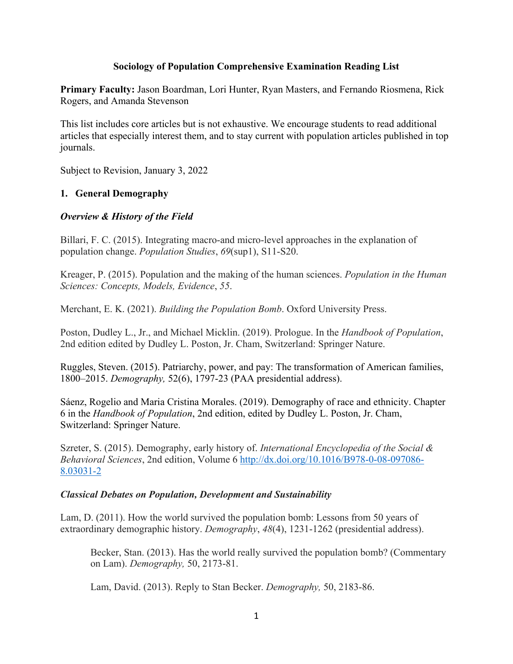### **Sociology of Population Comprehensive Examination Reading List**

**Primary Faculty:** Jason Boardman, Lori Hunter, Ryan Masters, and Fernando Riosmena, Rick Rogers, and Amanda Stevenson

This list includes core articles but is not exhaustive. We encourage students to read additional articles that especially interest them, and to stay current with population articles published in top journals.

Subject to Revision, January 3, 2022

# **1. General Demography**

### *Overview & History of the Field*

Billari, F. C. (2015). Integrating macro-and micro-level approaches in the explanation of population change. *Population Studies*, *69*(sup1), S11-S20.

Kreager, P. (2015). Population and the making of the human sciences. *Population in the Human Sciences: Concepts, Models, Evidence*, *55*.

Merchant, E. K. (2021). *Building the Population Bomb*. Oxford University Press.

Poston, Dudley L., Jr., and Michael Micklin. (2019). Prologue. In the *Handbook of Population*, 2nd edition edited by Dudley L. Poston, Jr. Cham, Switzerland: Springer Nature.

Ruggles, Steven. (2015). Patriarchy, power, and pay: The transformation of American families, 1800–2015. *Demography,* 52(6), 1797-23 (PAA presidential address).

Sáenz, Rogelio and Maria Cristina Morales. (2019). Demography of race and ethnicity. Chapter 6 in the *Handbook of Population*, 2nd edition, edited by Dudley L. Poston, Jr. Cham, Switzerland: Springer Nature.

Szreter, S. (2015). Demography, early history of. *International Encyclopedia of the Social & Behavioral Sciences*, 2nd edition, Volume 6 http://dx.doi.org/10.1016/B978-0-08-097086- 8.03031-2

#### *Classical Debates on Population, Development and Sustainability*

Lam, D. (2011). How the world survived the population bomb: Lessons from 50 years of extraordinary demographic history. *Demography*, *48*(4), 1231-1262 (presidential address).

Becker, Stan. (2013). Has the world really survived the population bomb? (Commentary on Lam). *Demography,* 50, 2173-81.

Lam, David. (2013). Reply to Stan Becker. *Demography,* 50, 2183-86.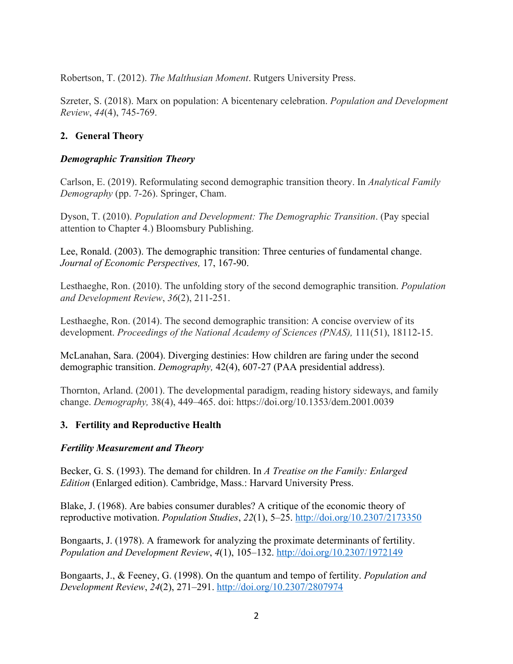Robertson, T. (2012). *The Malthusian Moment*. Rutgers University Press.

Szreter, S. (2018). Marx on population: A bicentenary celebration. *Population and Development Review*, *44*(4), 745-769.

# **2. General Theory**

### *Demographic Transition Theory*

Carlson, E. (2019). Reformulating second demographic transition theory. In *Analytical Family Demography* (pp. 7-26). Springer, Cham.

Dyson, T. (2010). *Population and Development: The Demographic Transition*. (Pay special attention to Chapter 4.) Bloomsbury Publishing.

Lee, Ronald. (2003). The demographic transition: Three centuries of fundamental change. *Journal of Economic Perspectives,* 17, 167-90.

Lesthaeghe, Ron. (2010). The unfolding story of the second demographic transition. *Population and Development Review*, *36*(2), 211-251.

Lesthaeghe, Ron. (2014). The second demographic transition: A concise overview of its development. *Proceedings of the National Academy of Sciences (PNAS),* 111(51), 18112-15.

McLanahan, Sara. (2004). Diverging destinies: How children are faring under the second demographic transition. *Demography,* 42(4), 607-27 (PAA presidential address).

Thornton, Arland. (2001). The developmental paradigm, reading history sideways, and family change. *Demography,* 38(4), 449–465. doi: https://doi.org/10.1353/dem.2001.0039

# **3. Fertility and Reproductive Health**

#### *Fertility Measurement and Theory*

Becker, G. S. (1993). The demand for children. In *A Treatise on the Family: Enlarged Edition* (Enlarged edition). Cambridge, Mass.: Harvard University Press.

Blake, J. (1968). Are babies consumer durables? A critique of the economic theory of reproductive motivation. *Population Studies*, *22*(1), 5–25. http://doi.org/10.2307/2173350

Bongaarts, J. (1978). A framework for analyzing the proximate determinants of fertility. *Population and Development Review*, *4*(1), 105–132. http://doi.org/10.2307/1972149

Bongaarts, J., & Feeney, G. (1998). On the quantum and tempo of fertility. *Population and Development Review*, *24*(2), 271–291. http://doi.org/10.2307/2807974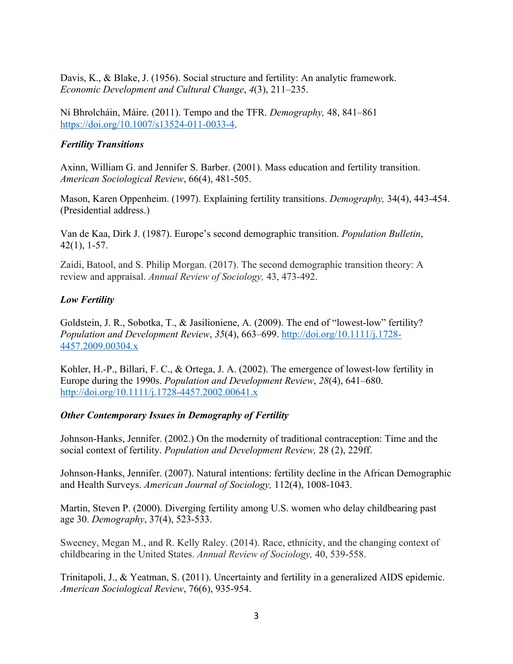Davis, K., & Blake, J. (1956). Social structure and fertility: An analytic framework. *Economic Development and Cultural Change*, *4*(3), 211–235.

Ní Bhrolcháin, Máire. (2011). Tempo and the TFR. *Demography,* 48, 841–861 https://doi.org/10.1007/s13524-011-0033-4.

### *Fertility Transitions*

Axinn, William G. and Jennifer S. Barber. (2001). Mass education and fertility transition. *American Sociological Review*, 66(4), 481-505.

Mason, Karen Oppenheim. (1997). Explaining fertility transitions. *Demography,* 34(4), 443-454. (Presidential address.)

Van de Kaa, Dirk J. (1987). Europe's second demographic transition. *Population Bulletin*, 42(1), 1-57.

Zaidi, Batool, and S. Philip Morgan. (2017). The second demographic transition theory: A review and appraisal. *Annual Review of Sociology,* 43, 473-492.

# *Low Fertility*

Goldstein, J. R., Sobotka, T., & Jasilioniene, A. (2009). The end of "lowest-low" fertility? *Population and Development Review*, *35*(4), 663–699. http://doi.org/10.1111/j.1728- 4457.2009.00304.x

Kohler, H.-P., Billari, F. C., & Ortega, J. A. (2002). The emergence of lowest-low fertility in Europe during the 1990s. *Population and Development Review*, *28*(4), 641–680. http://doi.org/10.1111/j.1728-4457.2002.00641.x

# *Other Contemporary Issues in Demography of Fertility*

Johnson-Hanks, Jennifer. (2002.) On the modernity of traditional contraception: Time and the social context of fertility. *Population and Development Review,* 28 (2), 229ff.

Johnson-Hanks, Jennifer. (2007). Natural intentions: fertility decline in the African Demographic and Health Surveys. *American Journal of Sociology,* 112(4), 1008-1043.

Martin, Steven P. (2000). Diverging fertility among U.S. women who delay childbearing past age 30. *Demography*, 37(4), 523-533.

Sweeney, Megan M., and R. Kelly Raley. (2014). Race, ethnicity, and the changing context of childbearing in the United States. *Annual Review of Sociology,* 40, 539-558.

Trinitapoli, J., & Yeatman, S. (2011). Uncertainty and fertility in a generalized AIDS epidemic. *American Sociological Review*, 76(6), 935-954.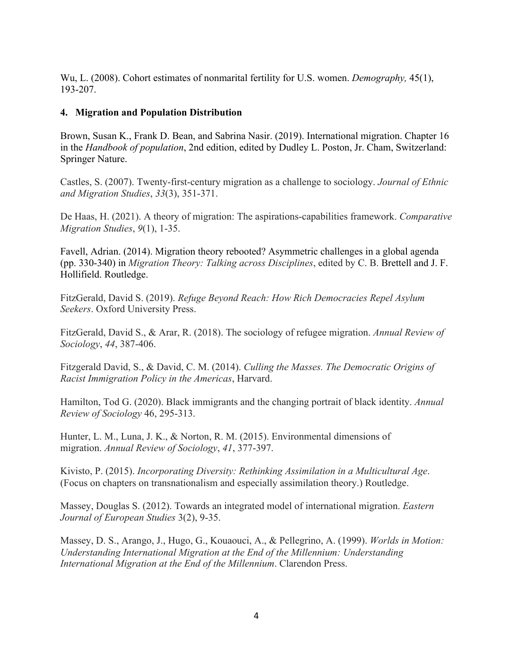Wu, L. (2008). Cohort estimates of nonmarital fertility for U.S. women. *Demography,* 45(1), 193-207.

### **4. Migration and Population Distribution**

Brown, Susan K., Frank D. Bean, and Sabrina Nasir. (2019). International migration. Chapter 16 in the *Handbook of population*, 2nd edition, edited by Dudley L. Poston, Jr. Cham, Switzerland: Springer Nature.

Castles, S. (2007). Twenty-first-century migration as a challenge to sociology. *Journal of Ethnic and Migration Studies*, *33*(3), 351-371.

De Haas, H. (2021). A theory of migration: The aspirations-capabilities framework. *Comparative Migration Studies*, *9*(1), 1-35.

Favell, Adrian. (2014). Migration theory rebooted? Asymmetric challenges in a global agenda (pp. 330-340) in *Migration Theory: Talking across Disciplines*, edited by C. B. Brettell and J. F. Hollifield. Routledge.

FitzGerald, David S. (2019). *Refuge Beyond Reach: How Rich Democracies Repel Asylum Seekers*. Oxford University Press.

FitzGerald, David S., & Arar, R. (2018). The sociology of refugee migration. *Annual Review of Sociology*, *44*, 387-406.

Fitzgerald David, S., & David, C. M. (2014). *Culling the Masses. The Democratic Origins of Racist Immigration Policy in the Americas*, Harvard.

Hamilton, Tod G. (2020). Black immigrants and the changing portrait of black identity. *Annual Review of Sociology* 46, 295-313.

Hunter, L. M., Luna, J. K., & Norton, R. M. (2015). Environmental dimensions of migration. *Annual Review of Sociology*, *41*, 377-397.

Kivisto, P. (2015). *Incorporating Diversity: Rethinking Assimilation in a Multicultural Age*. (Focus on chapters on transnationalism and especially assimilation theory.) Routledge.

Massey, Douglas S. (2012). Towards an integrated model of international migration. *Eastern Journal of European Studies* 3(2), 9-35.

Massey, D. S., Arango, J., Hugo, G., Kouaouci, A., & Pellegrino, A. (1999). *Worlds in Motion: Understanding International Migration at the End of the Millennium: Understanding International Migration at the End of the Millennium*. Clarendon Press.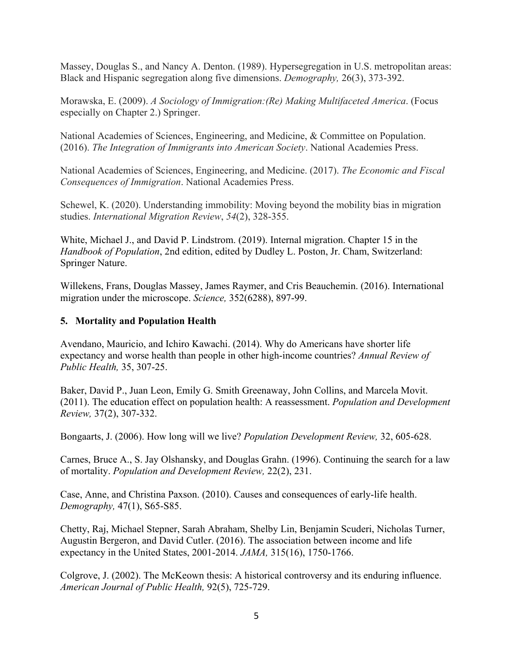Massey, Douglas S., and Nancy A. Denton. (1989). Hypersegregation in U.S. metropolitan areas: Black and Hispanic segregation along five dimensions. *Demography,* 26(3), 373-392.

Morawska, E. (2009). *A Sociology of Immigration:(Re) Making Multifaceted America*. (Focus especially on Chapter 2.) Springer.

National Academies of Sciences, Engineering, and Medicine, & Committee on Population. (2016). *The Integration of Immigrants into American Society*. National Academies Press.

National Academies of Sciences, Engineering, and Medicine. (2017). *The Economic and Fiscal Consequences of Immigration*. National Academies Press.

Schewel, K. (2020). Understanding immobility: Moving beyond the mobility bias in migration studies. *International Migration Review*, *54*(2), 328-355.

White, Michael J., and David P. Lindstrom. (2019). Internal migration. Chapter 15 in the *Handbook of Population*, 2nd edition, edited by Dudley L. Poston, Jr. Cham, Switzerland: Springer Nature.

Willekens, Frans, Douglas Massey, James Raymer, and Cris Beauchemin. (2016). International migration under the microscope. *Science,* 352(6288), 897-99.

# **5. Mortality and Population Health**

Avendano, Mauricio, and Ichiro Kawachi. (2014). Why do Americans have shorter life expectancy and worse health than people in other high-income countries? *Annual Review of Public Health,* 35, 307-25.

Baker, David P., Juan Leon, Emily G. Smith Greenaway, John Collins, and Marcela Movit. (2011). The education effect on population health: A reassessment. *Population and Development Review,* 37(2), 307-332.

Bongaarts, J. (2006). How long will we live? *Population Development Review,* 32, 605-628.

Carnes, Bruce A., S. Jay Olshansky, and Douglas Grahn. (1996). Continuing the search for a law of mortality. *Population and Development Review,* 22(2), 231.

Case, Anne, and Christina Paxson. (2010). Causes and consequences of early-life health. *Demography,* 47(1), S65-S85.

Chetty, Raj, Michael Stepner, Sarah Abraham, Shelby Lin, Benjamin Scuderi, Nicholas Turner, Augustin Bergeron, and David Cutler. (2016). The association between income and life expectancy in the United States, 2001-2014. *JAMA,* 315(16), 1750-1766.

Colgrove, J. (2002). The McKeown thesis: A historical controversy and its enduring influence. *American Journal of Public Health,* 92(5), 725-729.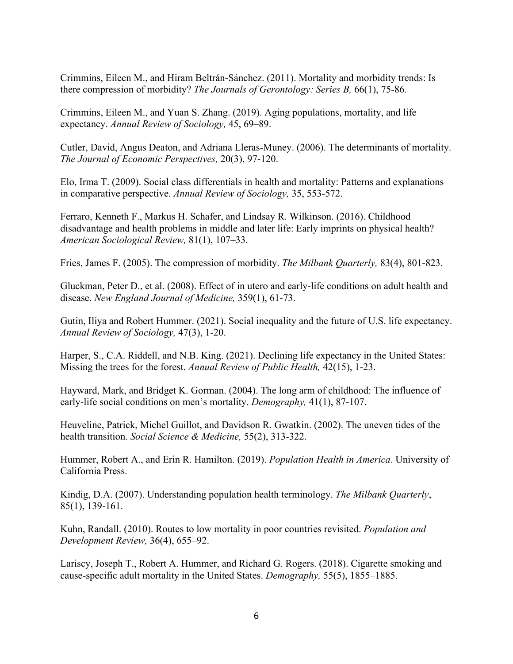Crimmins, Eileen M., and Hiram Beltrán-Sánchez. (2011). Mortality and morbidity trends: Is there compression of morbidity? *The Journals of Gerontology: Series B,* 66(1), 75-86.

Crimmins, Eileen M., and Yuan S. Zhang. (2019). Aging populations, mortality, and life expectancy. *Annual Review of Sociology,* 45, 69–89.

Cutler, David, Angus Deaton, and Adriana Lleras-Muney. (2006). The determinants of mortality. *The Journal of Economic Perspectives,* 20(3), 97-120.

Elo, Irma T. (2009). Social class differentials in health and mortality: Patterns and explanations in comparative perspective. *Annual Review of Sociology,* 35, 553-572.

Ferraro, Kenneth F., Markus H. Schafer, and Lindsay R. Wilkinson. (2016). Childhood disadvantage and health problems in middle and later life: Early imprints on physical health? *American Sociological Review,* 81(1), 107–33.

Fries, James F. (2005). The compression of morbidity. *The Milbank Quarterly,* 83(4), 801-823.

Gluckman, Peter D., et al. (2008). Effect of in utero and early-life conditions on adult health and disease. *New England Journal of Medicine,* 359(1), 61-73.

Gutin, Iliya and Robert Hummer. (2021). Social inequality and the future of U.S. life expectancy. *Annual Review of Sociology,* 47(3), 1-20.

Harper, S., C.A. Riddell, and N.B. King. (2021). Declining life expectancy in the United States: Missing the trees for the forest. *Annual Review of Public Health,* 42(15), 1-23.

Hayward, Mark, and Bridget K. Gorman. (2004). The long arm of childhood: The influence of early-life social conditions on men's mortality. *Demography,* 41(1), 87-107.

Heuveline, Patrick, Michel Guillot, and Davidson R. Gwatkin. (2002). The uneven tides of the health transition. *Social Science & Medicine,* 55(2), 313-322.

Hummer, Robert A., and Erin R. Hamilton. (2019). *Population Health in America*. University of California Press.

Kindig, D.A. (2007). Understanding population health terminology. *The Milbank Quarterly*, 85(1), 139-161.

Kuhn, Randall. (2010). Routes to low mortality in poor countries revisited. *Population and Development Review,* 36(4), 655–92.

Lariscy, Joseph T., Robert A. Hummer, and Richard G. Rogers. (2018). Cigarette smoking and cause-specific adult mortality in the United States. *Demography,* 55(5), 1855–1885.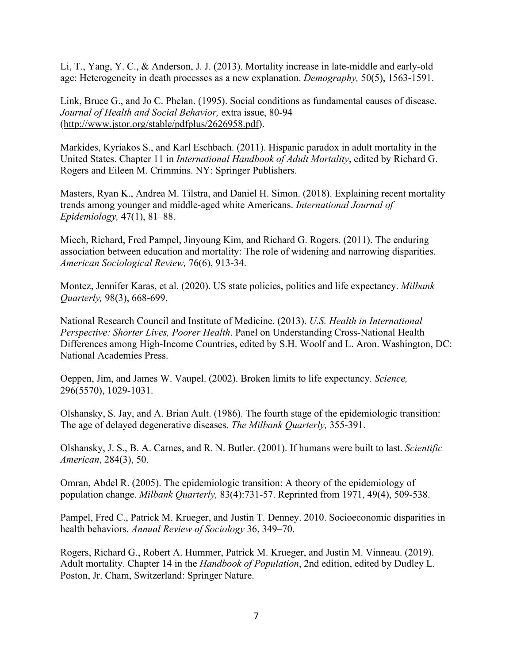Li, T., Yang, Y. C., & Anderson, J. J. (2013). Mortality increase in late-middle and early-old age: Heterogeneity in death processes as a new explanation. *Demography,* 50(5), 1563-1591.

Link, Bruce G., and Jo C. Phelan. (1995). Social conditions as fundamental causes of disease. *Journal of Health and Social Behavior,* extra issue, 80-94 (http://www.jstor.org/stable/pdfplus/2626958.pdf).

Markides, Kyriakos S., and Karl Eschbach. (2011). Hispanic paradox in adult mortality in the United States. Chapter 11 in *International Handbook of Adult Mortality*, edited by Richard G. Rogers and Eileen M. Crimmins. NY: Springer Publishers.

Masters, Ryan K., Andrea M. Tilstra, and Daniel H. Simon. (2018). Explaining recent mortality trends among younger and middle-aged white Americans. *International Journal of Epidemiology,* 47(1), 81–88.

Miech, Richard, Fred Pampel, Jinyoung Kim, and Richard G. Rogers. (2011). The enduring association between education and mortality: The role of widening and narrowing disparities. *American Sociological Review,* 76(6), 913-34.

Montez, Jennifer Karas, et al. (2020). US state policies, politics and life expectancy. *Milbank Quarterly,* 98(3), 668-699.

National Research Council and Institute of Medicine. (2013). *U.S. Health in International Perspective: Shorter Lives, Poorer Health*. Panel on Understanding Cross-National Health Differences among High-Income Countries, edited by S.H. Woolf and L. Aron. Washington, DC: National Academies Press.

Oeppen, Jim, and James W. Vaupel. (2002). Broken limits to life expectancy. *Science,* 296(5570), 1029-1031.

Olshansky, S. Jay, and A. Brian Ault. (1986). The fourth stage of the epidemiologic transition: The age of delayed degenerative diseases. *The Milbank Quarterly,* 355-391.

Olshansky, J. S., B. A. Carnes, and R. N. Butler. (2001). If humans were built to last. *Scientific American*, 284(3), 50.

Omran, Abdel R. (2005). The epidemiologic transition: A theory of the epidemiology of population change. *Milbank Quarterly,* 83(4):731-57. Reprinted from 1971, 49(4), 509-538.

Pampel, Fred C., Patrick M. Krueger, and Justin T. Denney. 2010. Socioeconomic disparities in health behaviors. *Annual Review of Sociology* 36, 349–70.

Rogers, Richard G., Robert A. Hummer, Patrick M. Krueger, and Justin M. Vinneau. (2019). Adult mortality. Chapter 14 in the *Handbook of Population*, 2nd edition, edited by Dudley L. Poston, Jr. Cham, Switzerland: Springer Nature.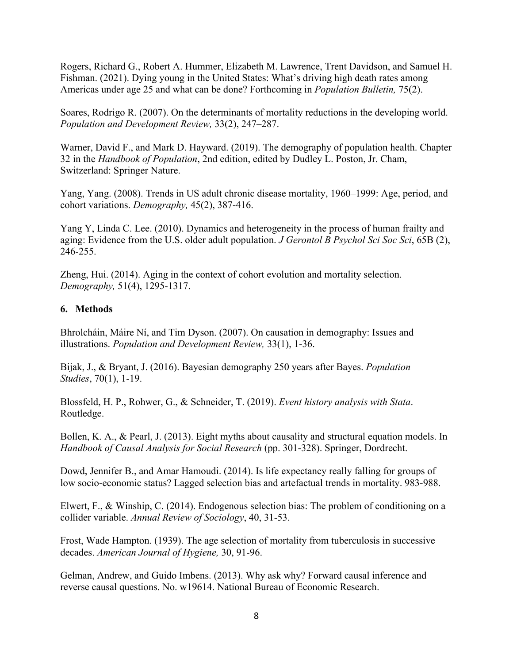Rogers, Richard G., Robert A. Hummer, Elizabeth M. Lawrence, Trent Davidson, and Samuel H. Fishman. (2021). Dying young in the United States: What's driving high death rates among Americas under age 25 and what can be done? Forthcoming in *Population Bulletin,* 75(2).

Soares, Rodrigo R. (2007). On the determinants of mortality reductions in the developing world. *Population and Development Review,* 33(2), 247–287.

Warner, David F., and Mark D. Hayward. (2019). The demography of population health. Chapter 32 in the *Handbook of Population*, 2nd edition, edited by Dudley L. Poston, Jr. Cham, Switzerland: Springer Nature.

Yang, Yang. (2008). Trends in US adult chronic disease mortality, 1960–1999: Age, period, and cohort variations. *Demography,* 45(2), 387-416.

Yang Y, Linda C. Lee. (2010). Dynamics and heterogeneity in the process of human frailty and aging: Evidence from the U.S. older adult population. *J Gerontol B Psychol Sci Soc Sci*, 65B (2), 246-255.

Zheng, Hui. (2014). Aging in the context of cohort evolution and mortality selection. *Demography,* 51(4), 1295-1317.

### **6. Methods**

Bhrolcháin, Máire Ní, and Tim Dyson. (2007). On causation in demography: Issues and illustrations. *Population and Development Review,* 33(1), 1-36.

Bijak, J., & Bryant, J. (2016). Bayesian demography 250 years after Bayes. *Population Studies*, 70(1), 1-19.

Blossfeld, H. P., Rohwer, G., & Schneider, T. (2019). *Event history analysis with Stata*. Routledge.

Bollen, K. A., & Pearl, J. (2013). Eight myths about causality and structural equation models. In *Handbook of Causal Analysis for Social Research* (pp. 301-328). Springer, Dordrecht.

Dowd, Jennifer B., and Amar Hamoudi. (2014). Is life expectancy really falling for groups of low socio-economic status? Lagged selection bias and artefactual trends in mortality. 983-988.

Elwert, F., & Winship, C. (2014). Endogenous selection bias: The problem of conditioning on a collider variable. *Annual Review of Sociology*, 40, 31-53.

Frost, Wade Hampton. (1939). The age selection of mortality from tuberculosis in successive decades. *American Journal of Hygiene,* 30, 91-96.

Gelman, Andrew, and Guido Imbens. (2013). Why ask why? Forward causal inference and reverse causal questions. No. w19614. National Bureau of Economic Research.